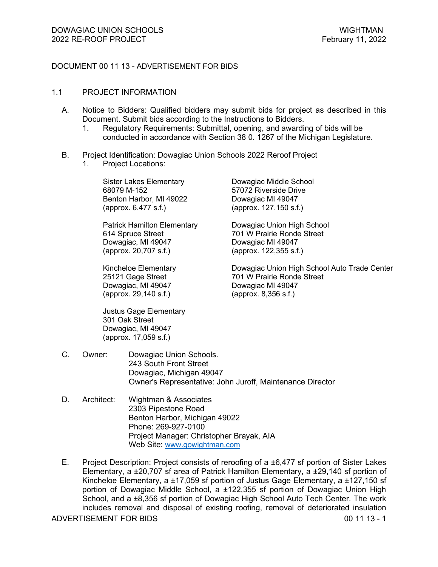## DOCUMENT 00 11 13 - ADVERTISEMENT FOR BIDS

#### 1.1 PROJECT INFORMATION

- A. Notice to Bidders: Qualified bidders may submit bids for project as described in this Document. Submit bids according to the Instructions to Bidders.
	- 1. Regulatory Requirements: Submittal, opening, and awarding of bids will be conducted in accordance with Section 38 0. 1267 of the Michigan Legislature.
- B. Project Identification: Dowagiac Union Schools 2022 Reroof Project
	- 1. Project Locations:

Sister Lakes Elementary Dowagiac Middle School 68079 M-152 57072 Riverside Drive Benton Harbor, MI 49022 Dowagiac MI 49047 (approx. 6,477 s.f.) (approx. 127,150 s.f.)

614 Spruce Street 701 W Prairie Ronde Street Dowagiac, MI 49047 Dowagiac MI 49047 (approx. 20,707 s.f.) (approx. 122,355 s.f.)

Dowagiac, MI 49047 Dowagiac MI 49047 (approx. 29,140 s.f.) (approx. 8,356 s.f.)

Justus Gage Elementary 301 Oak Street Dowagiac, MI 49047 (approx. 17,059 s.f.)

Patrick Hamilton Elementary Dowagiac Union High School

Kincheloe Elementary **Dowagiac Union High School Auto Trade Center**<br>25121 Gage Street **1988** 701 W Prairie Ronde Street 25121 Gage Street 701 W Prairie Ronde Street

- C. Owner: Dowagiac Union Schools. 243 South Front Street Dowagiac, Michigan 49047 Owner's Representative: John Juroff, Maintenance Director
- D. Architect: Wightman & Associates 2303 Pipestone Road Benton Harbor, Michigan 49022 Phone: 269-927-0100 Project Manager: Christopher Brayak, AIA Web Site: www.gowightman.com
- ADVERTISEMENT FOR BIDS 00 11 13 1 E. Project Description: Project consists of reroofing of a ±6,477 sf portion of Sister Lakes Elementary, a ±20,707 sf area of Patrick Hamilton Elementary, a ±29,140 sf portion of Kincheloe Elementary, a ±17,059 sf portion of Justus Gage Elementary, a ±127,150 sf portion of Dowagiac Middle School, a ±122,355 sf portion of Dowagiac Union High School, and a ±8,356 sf portion of Dowagiac High School Auto Tech Center. The work includes removal and disposal of existing roofing, removal of deteriorated insulation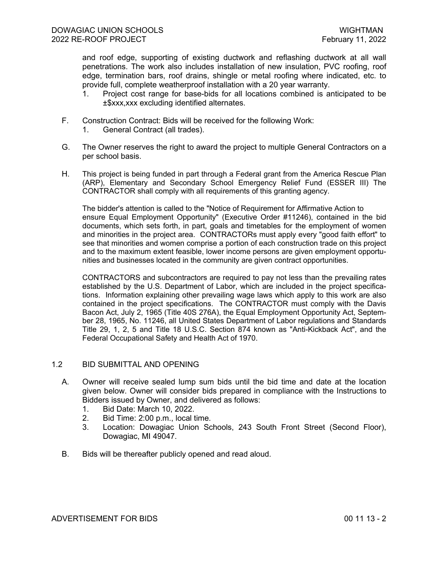and roof edge, supporting of existing ductwork and reflashing ductwork at all wall penetrations. The work also includes installation of new insulation, PVC roofing, roof edge, termination bars, roof drains, shingle or metal roofing where indicated, etc. to provide full, complete weatherproof installation with a 20 year warranty.

- 1. Project cost range for base-bids for all locations combined is anticipated to be ±\$xxx,xxx excluding identified alternates.
- F. Construction Contract: Bids will be received for the following Work:
	- 1. General Contract (all trades).
- G. The Owner reserves the right to award the project to multiple General Contractors on a per school basis.
- H. This project is being funded in part through a Federal grant from the America Rescue Plan (ARP), Elementary and Secondary School Emergency Relief Fund (ESSER III) The CONTRACTOR shall comply with all requirements of this granting agency.

The bidder's attention is called to the "Notice of Requirement for Affirmative Action to ensure Equal Employment Opportunity" (Executive Order #11246), contained in the bid documents, which sets forth, in part, goals and timetables for the employment of women and minorities in the project area. CONTRACTORs must apply every "good faith effort" to see that minorities and women comprise a portion of each construction trade on this project and to the maximum extent feasible, lower income persons are given employment opportunities and businesses located in the community are given contract opportunities.

CONTRACTORS and subcontractors are required to pay not less than the prevailing rates established by the U.S. Department of Labor, which are included in the project specifications. Information explaining other prevailing wage laws which apply to this work are also contained in the project specifications. The CONTRACTOR must comply with the Davis Bacon Act, July 2, 1965 (Title 40S 276A), the Equal Employment Opportunity Act, September 28, 1965, No. 11246, all United States Department of Labor regulations and Standards Title 29, 1, 2, 5 and Title 18 U.S.C. Section 874 known as "Anti-Kickback Act", and the Federal Occupational Safety and Health Act of 1970.

## 1.2 BID SUBMITTAL AND OPENING

- A. Owner will receive sealed lump sum bids until the bid time and date at the location given below. Owner will consider bids prepared in compliance with the Instructions to Bidders issued by Owner, and delivered as follows:
	- 1. Bid Date: March 10, 2022.
	- 2. Bid Time: 2:00 p.m., local time.
	- 3. Location: Dowagiac Union Schools, 243 South Front Street (Second Floor), Dowagiac, MI 49047.
- B. Bids will be thereafter publicly opened and read aloud.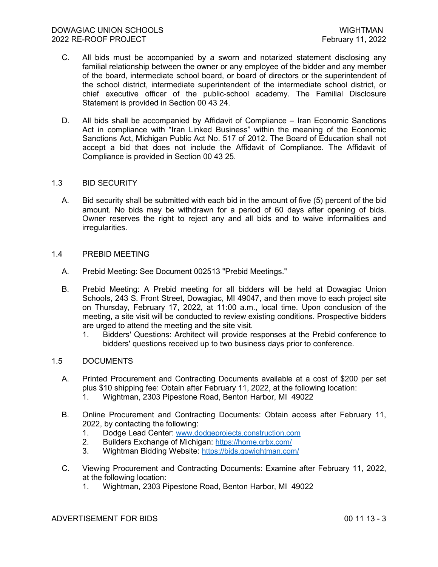- C. All bids must be accompanied by a sworn and notarized statement disclosing any familial relationship between the owner or any employee of the bidder and any member of the board, intermediate school board, or board of directors or the superintendent of the school district, intermediate superintendent of the intermediate school district, or chief executive officer of the public-school academy. The Familial Disclosure Statement is provided in Section 00 43 24.
- D. All bids shall be accompanied by Affidavit of Compliance Iran Economic Sanctions Act in compliance with "Iran Linked Business" within the meaning of the Economic Sanctions Act, Michigan Public Act No. 517 of 2012. The Board of Education shall not accept a bid that does not include the Affidavit of Compliance. The Affidavit of Compliance is provided in Section 00 43 25.

## 1.3 BID SECURITY

A. Bid security shall be submitted with each bid in the amount of five (5) percent of the bid amount. No bids may be withdrawn for a period of 60 days after opening of bids. Owner reserves the right to reject any and all bids and to waive informalities and irregularities.

## 1.4 PREBID MEETING

- A. Prebid Meeting: See Document 002513 "Prebid Meetings."
- B. Prebid Meeting: A Prebid meeting for all bidders will be held at Dowagiac Union Schools, 243 S. Front Street, Dowagiac, MI 49047, and then move to each project site on Thursday, February 17, 2022, at 11:00 a.m., local time. Upon conclusion of the meeting, a site visit will be conducted to review existing conditions. Prospective bidders are urged to attend the meeting and the site visit.
	- 1. Bidders' Questions: Architect will provide responses at the Prebid conference to bidders' questions received up to two business days prior to conference.

## 1.5 DOCUMENTS

- A. Printed Procurement and Contracting Documents available at a cost of \$200 per set plus \$10 shipping fee: Obtain after February 11, 2022, at the following location:
	- 1. Wightman, 2303 Pipestone Road, Benton Harbor, MI 49022
- B. Online Procurement and Contracting Documents: Obtain access after February 11, 2022, by contacting the following:
	- 1. Dodge Lead Center: www.dodgeprojects.construction.com<br>2. Builders Exchange of Michigan: https://home.grbx.com/
	- Builders Exchange of Michigan: https://home.grbx.com/
	- 3. Wightman Bidding Website: https://bids.gowightman.com/
- C. Viewing Procurement and Contracting Documents: Examine after February 11, 2022, at the following location:
	- 1. Wightman, 2303 Pipestone Road, Benton Harbor, MI 49022